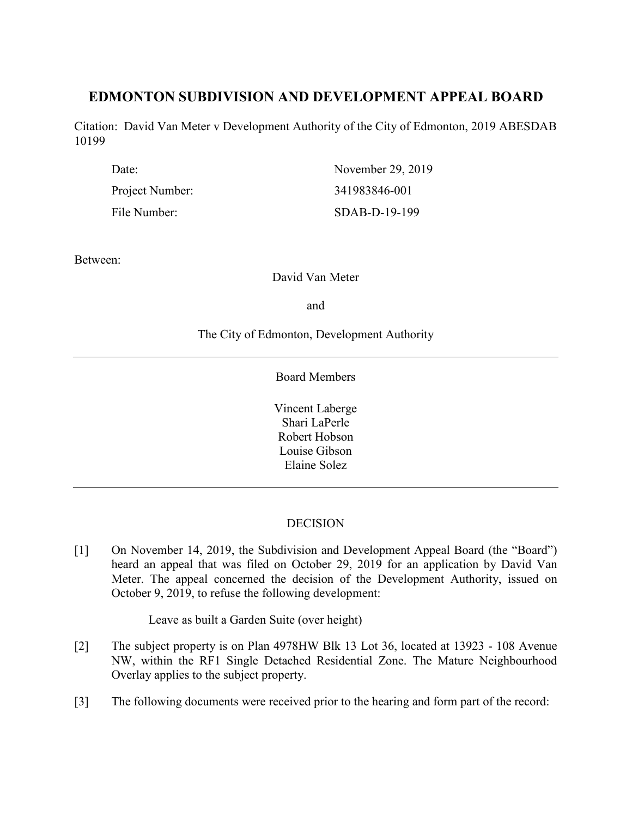# **EDMONTON SUBDIVISION AND DEVELOPMENT APPEAL BOARD**

Citation: David Van Meter v Development Authority of the City of Edmonton, 2019 ABESDAB 10199

| Date:           | November 29, 2019 |
|-----------------|-------------------|
| Project Number: | 341983846-001     |
| File Number:    | $SDAB-D-19-199$   |

Between:

David Van Meter

and

The City of Edmonton, Development Authority

Board Members

Vincent Laberge Shari LaPerle Robert Hobson Louise Gibson Elaine Solez

# **DECISION**

[1] On November 14, 2019, the Subdivision and Development Appeal Board (the "Board") heard an appeal that was filed on October 29, 2019 for an application by David Van Meter. The appeal concerned the decision of the Development Authority, issued on October 9, 2019, to refuse the following development:

Leave as built a Garden Suite (over height)

- [2] The subject property is on Plan 4978HW Blk 13 Lot 36, located at 13923 108 Avenue NW, within the RF1 Single Detached Residential Zone. The Mature Neighbourhood Overlay applies to the subject property.
- [3] The following documents were received prior to the hearing and form part of the record: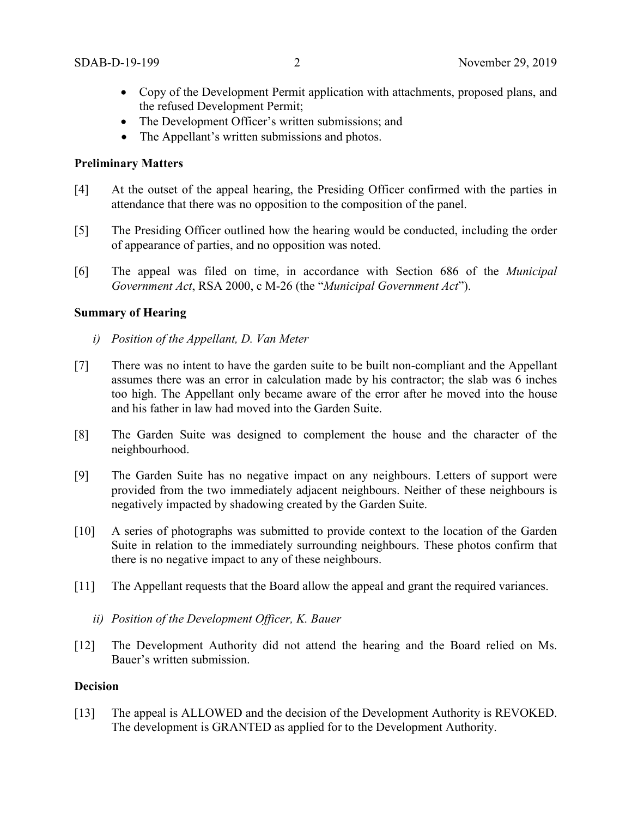- Copy of the Development Permit application with attachments, proposed plans, and the refused Development Permit;
- The Development Officer's written submissions; and
- The Appellant's written submissions and photos.

### **Preliminary Matters**

- [4] At the outset of the appeal hearing, the Presiding Officer confirmed with the parties in attendance that there was no opposition to the composition of the panel.
- [5] The Presiding Officer outlined how the hearing would be conducted, including the order of appearance of parties, and no opposition was noted.
- [6] The appeal was filed on time, in accordance with Section 686 of the *Municipal Government Act*, RSA 2000, c M-26 (the "*Municipal Government Act*").

### **Summary of Hearing**

- *i) Position of the Appellant, D. Van Meter*
- [7] There was no intent to have the garden suite to be built non-compliant and the Appellant assumes there was an error in calculation made by his contractor; the slab was 6 inches too high. The Appellant only became aware of the error after he moved into the house and his father in law had moved into the Garden Suite.
- [8] The Garden Suite was designed to complement the house and the character of the neighbourhood.
- [9] The Garden Suite has no negative impact on any neighbours. Letters of support were provided from the two immediately adjacent neighbours. Neither of these neighbours is negatively impacted by shadowing created by the Garden Suite.
- [10] A series of photographs was submitted to provide context to the location of the Garden Suite in relation to the immediately surrounding neighbours. These photos confirm that there is no negative impact to any of these neighbours.
- [11] The Appellant requests that the Board allow the appeal and grant the required variances.
	- *ii) Position of the Development Officer, K. Bauer*
- [12] The Development Authority did not attend the hearing and the Board relied on Ms. Bauer's written submission.

#### **Decision**

[13] The appeal is ALLOWED and the decision of the Development Authority is REVOKED. The development is GRANTED as applied for to the Development Authority.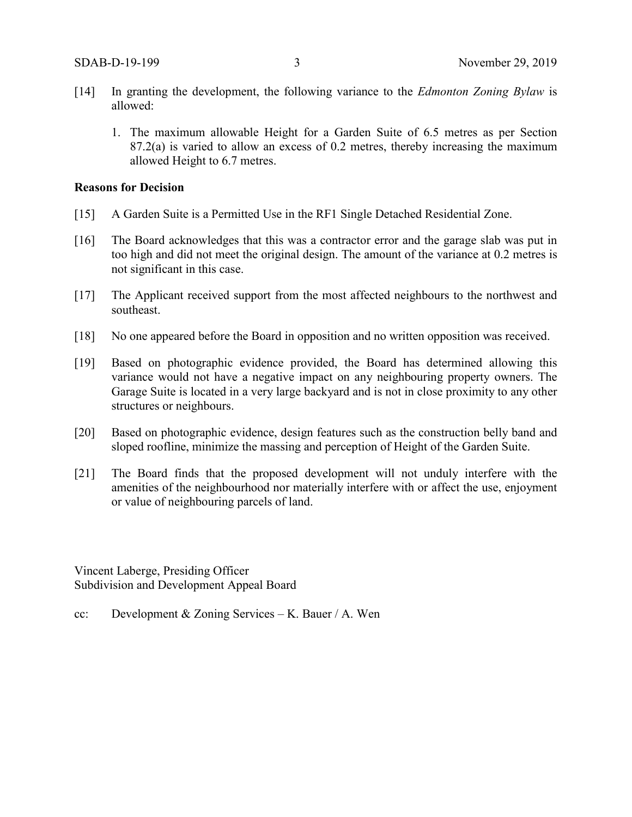- [14] In granting the development, the following variance to the *Edmonton Zoning Bylaw* is allowed:
	- 1. The maximum allowable Height for a Garden Suite of 6.5 metres as per Section 87.2(a) is varied to allow an excess of 0.2 metres, thereby increasing the maximum allowed Height to 6.7 metres.

### **Reasons for Decision**

- [15] A Garden Suite is a Permitted Use in the RF1 Single Detached Residential Zone.
- [16] The Board acknowledges that this was a contractor error and the garage slab was put in too high and did not meet the original design. The amount of the variance at 0.2 metres is not significant in this case.
- [17] The Applicant received support from the most affected neighbours to the northwest and southeast.
- [18] No one appeared before the Board in opposition and no written opposition was received.
- [19] Based on photographic evidence provided, the Board has determined allowing this variance would not have a negative impact on any neighbouring property owners. The Garage Suite is located in a very large backyard and is not in close proximity to any other structures or neighbours.
- [20] Based on photographic evidence, design features such as the construction belly band and sloped roofline, minimize the massing and perception of Height of the Garden Suite.
- [21] The Board finds that the proposed development will not unduly interfere with the amenities of the neighbourhood nor materially interfere with or affect the use, enjoyment or value of neighbouring parcels of land.

Vincent Laberge, Presiding Officer Subdivision and Development Appeal Board

cc: Development & Zoning Services – K. Bauer / A. Wen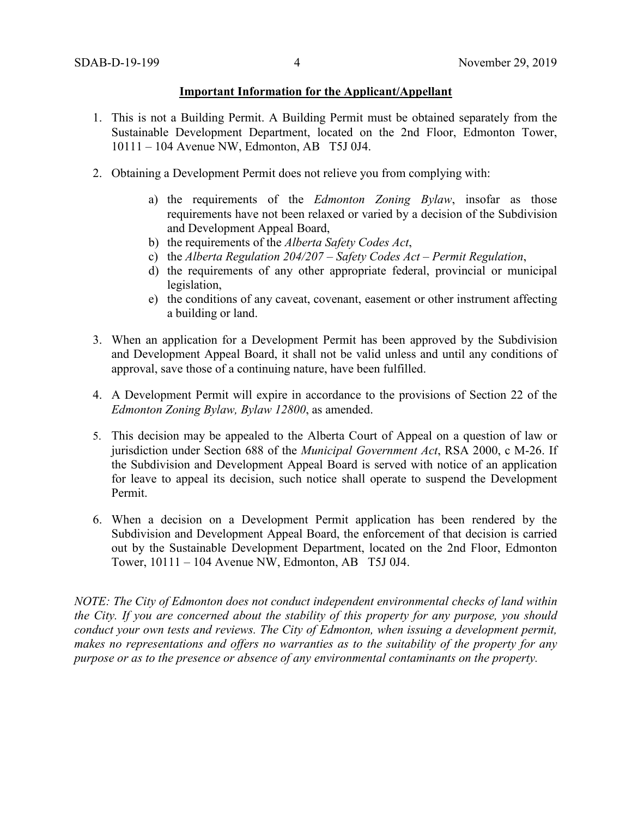#### **Important Information for the Applicant/Appellant**

- 1. This is not a Building Permit. A Building Permit must be obtained separately from the Sustainable Development Department, located on the 2nd Floor, Edmonton Tower, 10111 – 104 Avenue NW, Edmonton, AB T5J 0J4.
- 2. Obtaining a Development Permit does not relieve you from complying with:
	- a) the requirements of the *Edmonton Zoning Bylaw*, insofar as those requirements have not been relaxed or varied by a decision of the Subdivision and Development Appeal Board,
	- b) the requirements of the *Alberta Safety Codes Act*,
	- c) the *Alberta Regulation 204/207 – Safety Codes Act – Permit Regulation*,
	- d) the requirements of any other appropriate federal, provincial or municipal legislation,
	- e) the conditions of any caveat, covenant, easement or other instrument affecting a building or land.
- 3. When an application for a Development Permit has been approved by the Subdivision and Development Appeal Board, it shall not be valid unless and until any conditions of approval, save those of a continuing nature, have been fulfilled.
- 4. A Development Permit will expire in accordance to the provisions of Section 22 of the *Edmonton Zoning Bylaw, Bylaw 12800*, as amended.
- 5. This decision may be appealed to the Alberta Court of Appeal on a question of law or jurisdiction under Section 688 of the *Municipal Government Act*, RSA 2000, c M-26. If the Subdivision and Development Appeal Board is served with notice of an application for leave to appeal its decision, such notice shall operate to suspend the Development Permit.
- 6. When a decision on a Development Permit application has been rendered by the Subdivision and Development Appeal Board, the enforcement of that decision is carried out by the Sustainable Development Department, located on the 2nd Floor, Edmonton Tower, 10111 – 104 Avenue NW, Edmonton, AB T5J 0J4.

*NOTE: The City of Edmonton does not conduct independent environmental checks of land within the City. If you are concerned about the stability of this property for any purpose, you should conduct your own tests and reviews. The City of Edmonton, when issuing a development permit, makes no representations and offers no warranties as to the suitability of the property for any purpose or as to the presence or absence of any environmental contaminants on the property.*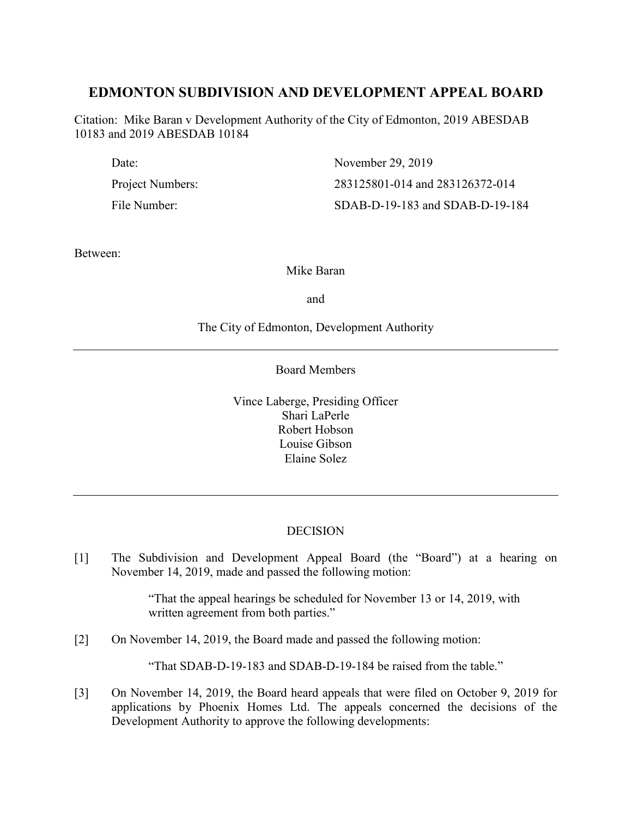# **EDMONTON SUBDIVISION AND DEVELOPMENT APPEAL BOARD**

Citation: Mike Baran v Development Authority of the City of Edmonton, 2019 ABESDAB 10183 and 2019 ABESDAB 10184

| Date:            | November 29, 2019               |
|------------------|---------------------------------|
| Project Numbers: | 283125801-014 and 283126372-014 |
| File Number:     | SDAB-D-19-183 and SDAB-D-19-184 |

Between:

Mike Baran

and

## The City of Edmonton, Development Authority

Board Members

Vince Laberge, Presiding Officer Shari LaPerle Robert Hobson Louise Gibson Elaine Solez

# **DECISION**

[1] The Subdivision and Development Appeal Board (the "Board") at a hearing on November 14, 2019, made and passed the following motion:

> "That the appeal hearings be scheduled for November 13 or 14, 2019, with written agreement from both parties."

[2] On November 14, 2019, the Board made and passed the following motion:

"That SDAB-D-19-183 and SDAB-D-19-184 be raised from the table."

[3] On November 14, 2019, the Board heard appeals that were filed on October 9, 2019 for applications by Phoenix Homes Ltd. The appeals concerned the decisions of the Development Authority to approve the following developments: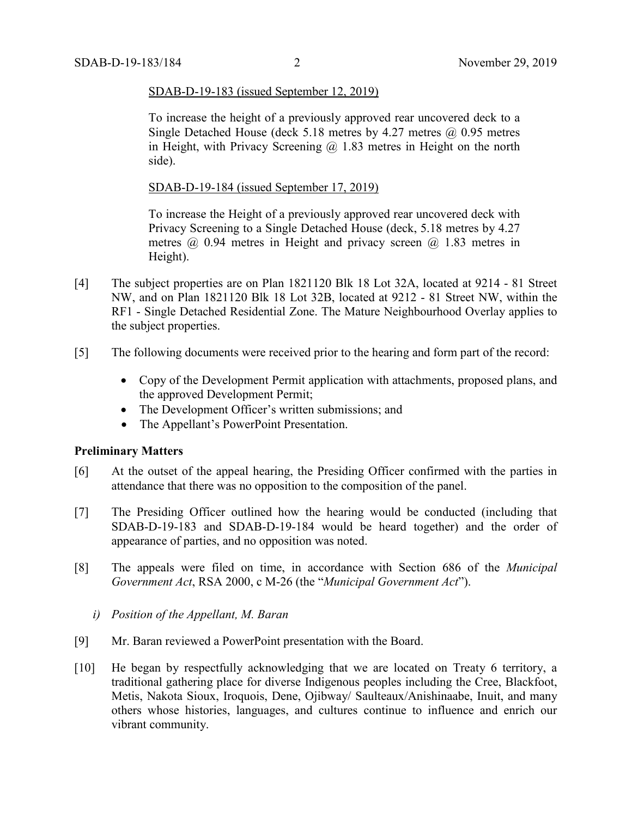#### SDAB-D-19-183 (issued September 12, 2019)

To increase the height of a previously approved rear uncovered deck to a Single Detached House (deck 5.18 metres by 4.27 metres  $\omega$  0.95 metres in Height, with Privacy Screening  $\omega$  1.83 metres in Height on the north side).

### SDAB-D-19-184 (issued September 17, 2019)

To increase the Height of a previously approved rear uncovered deck with Privacy Screening to a Single Detached House (deck, 5.18 metres by 4.27 metres @ 0.94 metres in Height and privacy screen @ 1.83 metres in Height).

- [4] The subject properties are on Plan 1821120 Blk 18 Lot 32A, located at 9214 81 Street NW, and on Plan 1821120 Blk 18 Lot 32B, located at 9212 - 81 Street NW, within the RF1 - Single Detached Residential Zone. The Mature Neighbourhood Overlay applies to the subject properties.
- [5] The following documents were received prior to the hearing and form part of the record:
	- Copy of the Development Permit application with attachments, proposed plans, and the approved Development Permit;
	- The Development Officer's written submissions; and
	- The Appellant's PowerPoint Presentation.

#### **Preliminary Matters**

- [6] At the outset of the appeal hearing, the Presiding Officer confirmed with the parties in attendance that there was no opposition to the composition of the panel.
- [7] The Presiding Officer outlined how the hearing would be conducted (including that SDAB-D-19-183 and SDAB-D-19-184 would be heard together) and the order of appearance of parties, and no opposition was noted.
- [8] The appeals were filed on time, in accordance with Section 686 of the *Municipal Government Act*, RSA 2000, c M-26 (the "*Municipal Government Act*").
	- *i) Position of the Appellant, M. Baran*
- [9] Mr. Baran reviewed a PowerPoint presentation with the Board.
- [10] He began by respectfully acknowledging that we are located on Treaty 6 territory, a traditional gathering place for diverse Indigenous peoples including the Cree, Blackfoot, Metis, Nakota Sioux, Iroquois, Dene, Ojibway/ Saulteaux/Anishinaabe, Inuit, and many others whose histories, languages, and cultures continue to influence and enrich our vibrant community.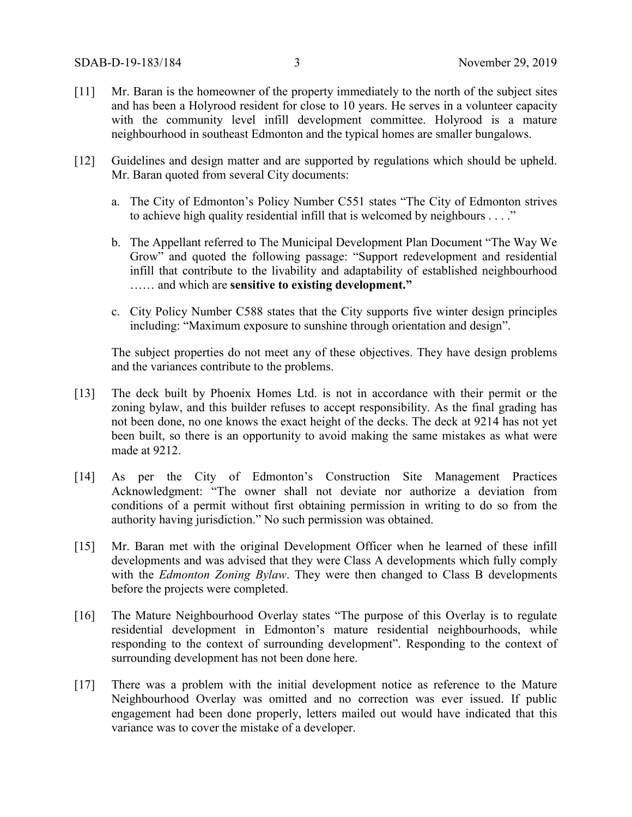- [11] Mr. Baran is the homeowner of the property immediately to the north of the subject sites and has been a Holyrood resident for close to 10 years. He serves in a volunteer capacity with the community level infill development committee. Holyrood is a mature neighbourhood in southeast Edmonton and the typical homes are smaller bungalows.
- [12] Guidelines and design matter and are supported by regulations which should be upheld. Mr. Baran quoted from several City documents:
	- a. The City of Edmonton's Policy Number C551 states "The City of Edmonton strives to achieve high quality residential infill that is welcomed by neighbours . . . ."
	- b. The Appellant referred to The Municipal Development Plan Document "The Way We Grow" and quoted the following passage: "Support redevelopment and residential infill that contribute to the livability and adaptability of established neighbourhood …… and which are **sensitive to existing development."**
	- c. City Policy Number C588 states that the City supports five winter design principles including: "Maximum exposure to sunshine through orientation and design".

The subject properties do not meet any of these objectives. They have design problems and the variances contribute to the problems.

- [13] The deck built by Phoenix Homes Ltd. is not in accordance with their permit or the zoning bylaw, and this builder refuses to accept responsibility. As the final grading has not been done, no one knows the exact height of the decks. The deck at 9214 has not yet been built, so there is an opportunity to avoid making the same mistakes as what were made at 9212.
- [14] As per the City of Edmonton's Construction Site Management Practices Acknowledgment: "The owner shall not deviate nor authorize a deviation from conditions of a permit without first obtaining permission in writing to do so from the authority having jurisdiction." No such permission was obtained.
- [15] Mr. Baran met with the original Development Officer when he learned of these infill developments and was advised that they were Class A developments which fully comply with the *Edmonton Zoning Bylaw*. They were then changed to Class B developments before the projects were completed.
- [16] The Mature Neighbourhood Overlay states "The purpose of this Overlay is to regulate residential development in Edmonton's mature residential neighbourhoods, while responding to the context of surrounding development". Responding to the context of surrounding development has not been done here.
- [17] There was a problem with the initial development notice as reference to the Mature Neighbourhood Overlay was omitted and no correction was ever issued. If public engagement had been done properly, letters mailed out would have indicated that this variance was to cover the mistake of a developer.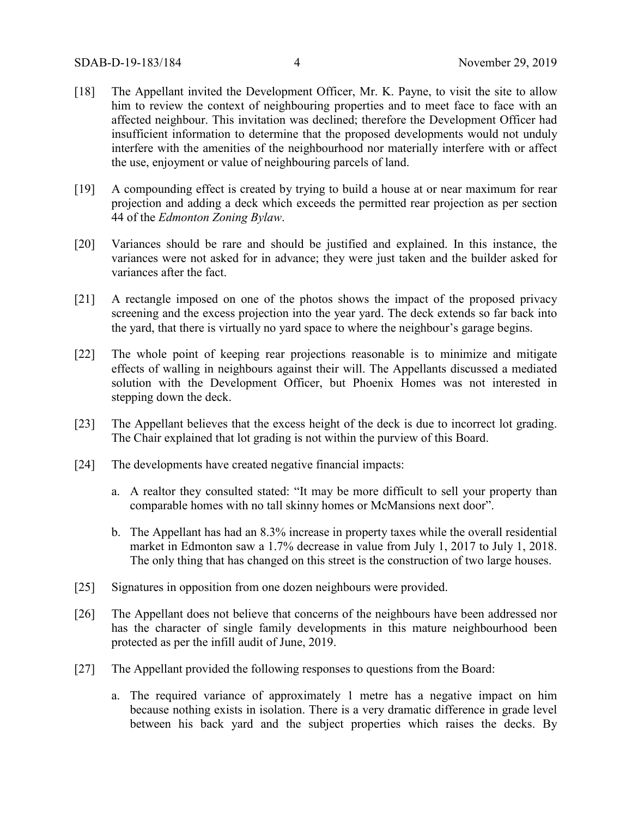- [18] The Appellant invited the Development Officer, Mr. K. Payne, to visit the site to allow him to review the context of neighbouring properties and to meet face to face with an affected neighbour. This invitation was declined; therefore the Development Officer had insufficient information to determine that the proposed developments would not unduly interfere with the amenities of the neighbourhood nor materially interfere with or affect the use, enjoyment or value of neighbouring parcels of land.
- [19] A compounding effect is created by trying to build a house at or near maximum for rear projection and adding a deck which exceeds the permitted rear projection as per section 44 of the *Edmonton Zoning Bylaw*.
- [20] Variances should be rare and should be justified and explained. In this instance, the variances were not asked for in advance; they were just taken and the builder asked for variances after the fact.
- [21] A rectangle imposed on one of the photos shows the impact of the proposed privacy screening and the excess projection into the year yard. The deck extends so far back into the yard, that there is virtually no yard space to where the neighbour's garage begins.
- [22] The whole point of keeping rear projections reasonable is to minimize and mitigate effects of walling in neighbours against their will. The Appellants discussed a mediated solution with the Development Officer, but Phoenix Homes was not interested in stepping down the deck.
- [23] The Appellant believes that the excess height of the deck is due to incorrect lot grading. The Chair explained that lot grading is not within the purview of this Board.
- [24] The developments have created negative financial impacts:
	- a. A realtor they consulted stated: "It may be more difficult to sell your property than comparable homes with no tall skinny homes or McMansions next door".
	- b. The Appellant has had an 8.3% increase in property taxes while the overall residential market in Edmonton saw a 1.7% decrease in value from July 1, 2017 to July 1, 2018. The only thing that has changed on this street is the construction of two large houses.
- [25] Signatures in opposition from one dozen neighbours were provided.
- [26] The Appellant does not believe that concerns of the neighbours have been addressed nor has the character of single family developments in this mature neighbourhood been protected as per the infill audit of June, 2019.
- [27] The Appellant provided the following responses to questions from the Board:
	- a. The required variance of approximately 1 metre has a negative impact on him because nothing exists in isolation. There is a very dramatic difference in grade level between his back yard and the subject properties which raises the decks. By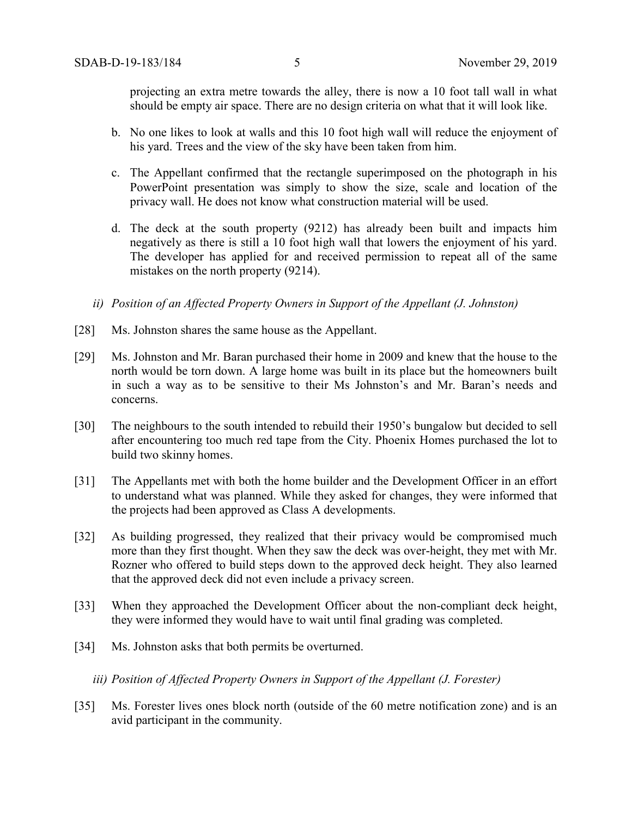projecting an extra metre towards the alley, there is now a 10 foot tall wall in what should be empty air space. There are no design criteria on what that it will look like.

- b. No one likes to look at walls and this 10 foot high wall will reduce the enjoyment of his yard. Trees and the view of the sky have been taken from him.
- c. The Appellant confirmed that the rectangle superimposed on the photograph in his PowerPoint presentation was simply to show the size, scale and location of the privacy wall. He does not know what construction material will be used.
- d. The deck at the south property (9212) has already been built and impacts him negatively as there is still a 10 foot high wall that lowers the enjoyment of his yard. The developer has applied for and received permission to repeat all of the same mistakes on the north property (9214).
- *ii) Position of an Affected Property Owners in Support of the Appellant (J. Johnston)*
- [28] Ms. Johnston shares the same house as the Appellant.
- [29] Ms. Johnston and Mr. Baran purchased their home in 2009 and knew that the house to the north would be torn down. A large home was built in its place but the homeowners built in such a way as to be sensitive to their Ms Johnston's and Mr. Baran's needs and concerns.
- [30] The neighbours to the south intended to rebuild their 1950's bungalow but decided to sell after encountering too much red tape from the City. Phoenix Homes purchased the lot to build two skinny homes.
- [31] The Appellants met with both the home builder and the Development Officer in an effort to understand what was planned. While they asked for changes, they were informed that the projects had been approved as Class A developments.
- [32] As building progressed, they realized that their privacy would be compromised much more than they first thought. When they saw the deck was over-height, they met with Mr. Rozner who offered to build steps down to the approved deck height. They also learned that the approved deck did not even include a privacy screen.
- [33] When they approached the Development Officer about the non-compliant deck height, they were informed they would have to wait until final grading was completed.
- [34] Ms. Johnston asks that both permits be overturned.
	- *iii) Position of Affected Property Owners in Support of the Appellant (J. Forester)*
- [35] Ms. Forester lives ones block north (outside of the 60 metre notification zone) and is an avid participant in the community.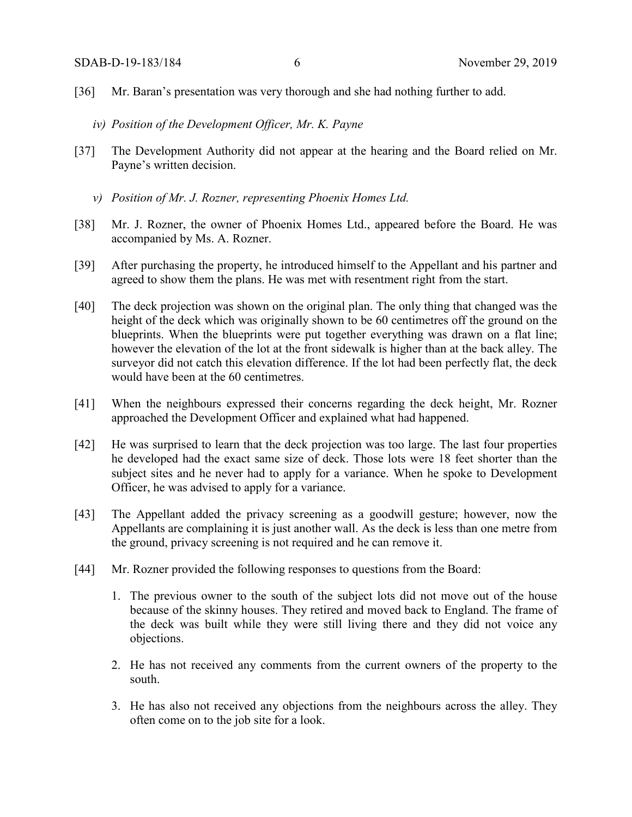- [36] Mr. Baran's presentation was very thorough and she had nothing further to add.
	- *iv) Position of the Development Officer, Mr. K. Payne*
- [37] The Development Authority did not appear at the hearing and the Board relied on Mr. Payne's written decision.
	- *v) Position of Mr. J. Rozner, representing Phoenix Homes Ltd.*
- [38] Mr. J. Rozner, the owner of Phoenix Homes Ltd., appeared before the Board. He was accompanied by Ms. A. Rozner.
- [39] After purchasing the property, he introduced himself to the Appellant and his partner and agreed to show them the plans. He was met with resentment right from the start.
- [40] The deck projection was shown on the original plan. The only thing that changed was the height of the deck which was originally shown to be 60 centimetres off the ground on the blueprints. When the blueprints were put together everything was drawn on a flat line; however the elevation of the lot at the front sidewalk is higher than at the back alley. The surveyor did not catch this elevation difference. If the lot had been perfectly flat, the deck would have been at the 60 centimetres.
- [41] When the neighbours expressed their concerns regarding the deck height, Mr. Rozner approached the Development Officer and explained what had happened.
- [42] He was surprised to learn that the deck projection was too large. The last four properties he developed had the exact same size of deck. Those lots were 18 feet shorter than the subject sites and he never had to apply for a variance. When he spoke to Development Officer, he was advised to apply for a variance.
- [43] The Appellant added the privacy screening as a goodwill gesture; however, now the Appellants are complaining it is just another wall. As the deck is less than one metre from the ground, privacy screening is not required and he can remove it.
- [44] Mr. Rozner provided the following responses to questions from the Board:
	- 1. The previous owner to the south of the subject lots did not move out of the house because of the skinny houses. They retired and moved back to England. The frame of the deck was built while they were still living there and they did not voice any objections.
	- 2. He has not received any comments from the current owners of the property to the south.
	- 3. He has also not received any objections from the neighbours across the alley. They often come on to the job site for a look.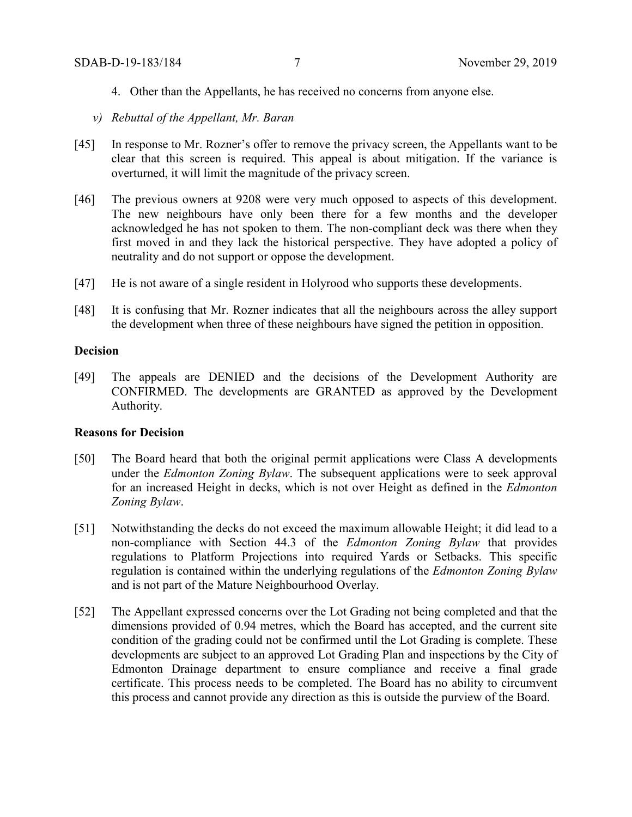- 4. Other than the Appellants, he has received no concerns from anyone else.
- *v) Rebuttal of the Appellant, Mr. Baran*
- [45] In response to Mr. Rozner's offer to remove the privacy screen, the Appellants want to be clear that this screen is required. This appeal is about mitigation. If the variance is overturned, it will limit the magnitude of the privacy screen.
- [46] The previous owners at 9208 were very much opposed to aspects of this development. The new neighbours have only been there for a few months and the developer acknowledged he has not spoken to them. The non-compliant deck was there when they first moved in and they lack the historical perspective. They have adopted a policy of neutrality and do not support or oppose the development.
- [47] He is not aware of a single resident in Holyrood who supports these developments.
- [48] It is confusing that Mr. Rozner indicates that all the neighbours across the alley support the development when three of these neighbours have signed the petition in opposition.

#### **Decision**

[49] The appeals are DENIED and the decisions of the Development Authority are CONFIRMED. The developments are GRANTED as approved by the Development Authority.

### **Reasons for Decision**

- [50] The Board heard that both the original permit applications were Class A developments under the *Edmonton Zoning Bylaw*. The subsequent applications were to seek approval for an increased Height in decks, which is not over Height as defined in the *Edmonton Zoning Bylaw*.
- [51] Notwithstanding the decks do not exceed the maximum allowable Height; it did lead to a non-compliance with Section 44.3 of the *Edmonton Zoning Bylaw* that provides regulations to Platform Projections into required Yards or Setbacks. This specific regulation is contained within the underlying regulations of the *Edmonton Zoning Bylaw* and is not part of the Mature Neighbourhood Overlay.
- [52] The Appellant expressed concerns over the Lot Grading not being completed and that the dimensions provided of 0.94 metres, which the Board has accepted, and the current site condition of the grading could not be confirmed until the Lot Grading is complete. These developments are subject to an approved Lot Grading Plan and inspections by the City of Edmonton Drainage department to ensure compliance and receive a final grade certificate. This process needs to be completed. The Board has no ability to circumvent this process and cannot provide any direction as this is outside the purview of the Board.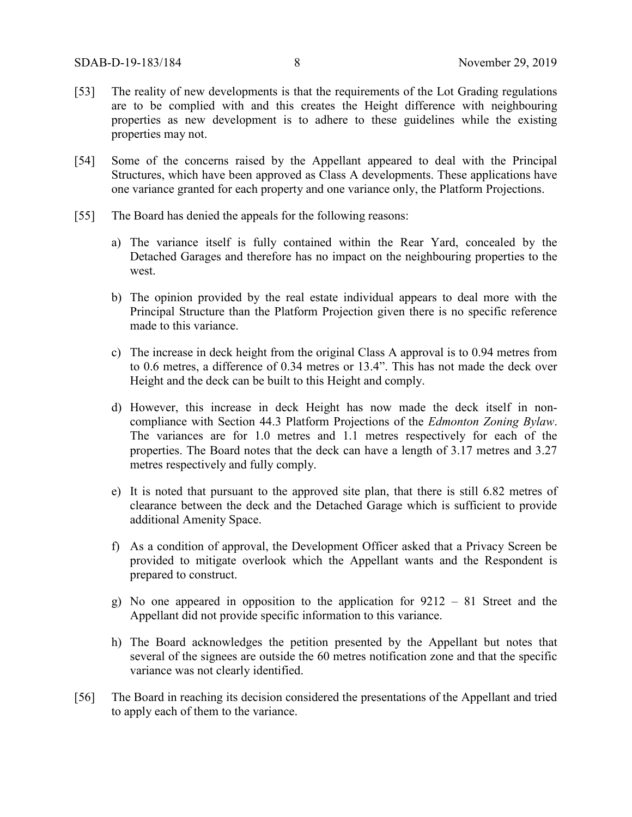- [53] The reality of new developments is that the requirements of the Lot Grading regulations are to be complied with and this creates the Height difference with neighbouring properties as new development is to adhere to these guidelines while the existing properties may not.
- [54] Some of the concerns raised by the Appellant appeared to deal with the Principal Structures, which have been approved as Class A developments. These applications have one variance granted for each property and one variance only, the Platform Projections.
- [55] The Board has denied the appeals for the following reasons:
	- a) The variance itself is fully contained within the Rear Yard, concealed by the Detached Garages and therefore has no impact on the neighbouring properties to the west.
	- b) The opinion provided by the real estate individual appears to deal more with the Principal Structure than the Platform Projection given there is no specific reference made to this variance.
	- c) The increase in deck height from the original Class A approval is to 0.94 metres from to 0.6 metres, a difference of 0.34 metres or 13.4". This has not made the deck over Height and the deck can be built to this Height and comply.
	- d) However, this increase in deck Height has now made the deck itself in noncompliance with Section 44.3 Platform Projections of the *Edmonton Zoning Bylaw*. The variances are for 1.0 metres and 1.1 metres respectively for each of the properties. The Board notes that the deck can have a length of 3.17 metres and 3.27 metres respectively and fully comply.
	- e) It is noted that pursuant to the approved site plan, that there is still 6.82 metres of clearance between the deck and the Detached Garage which is sufficient to provide additional Amenity Space.
	- f) As a condition of approval, the Development Officer asked that a Privacy Screen be provided to mitigate overlook which the Appellant wants and the Respondent is prepared to construct.
	- g) No one appeared in opposition to the application for 9212 81 Street and the Appellant did not provide specific information to this variance.
	- h) The Board acknowledges the petition presented by the Appellant but notes that several of the signees are outside the 60 metres notification zone and that the specific variance was not clearly identified.
- [56] The Board in reaching its decision considered the presentations of the Appellant and tried to apply each of them to the variance.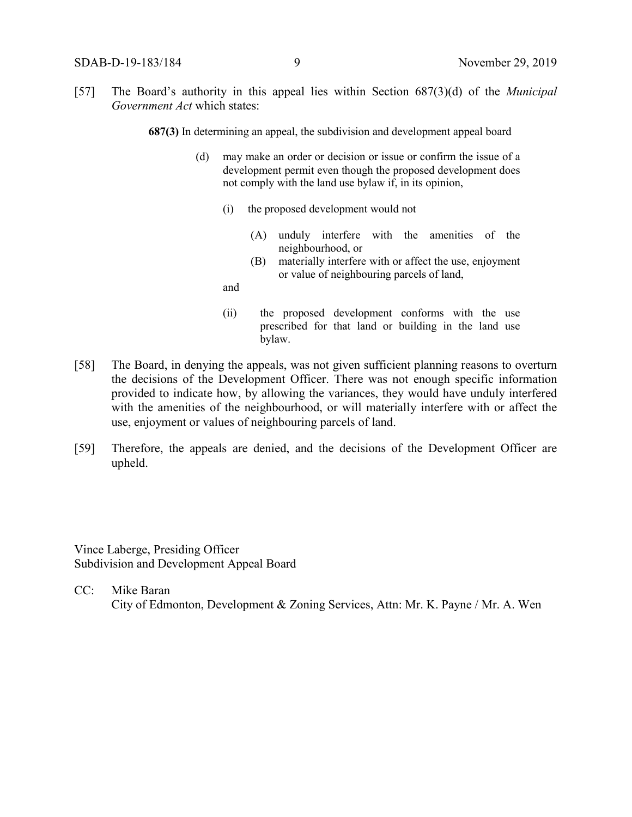[57] The Board's authority in this appeal lies within Section 687(3)(d) of the *Municipal Government Act* which states:

**687(3)** In determining an appeal, the subdivision and development appeal board

- (d) may make an order or decision or issue or confirm the issue of a development permit even though the proposed development does not comply with the land use bylaw if, in its opinion,
	- (i) the proposed development would not
		- (A) unduly interfere with the amenities of the neighbourhood, or
		- (B) materially interfere with or affect the use, enjoyment or value of neighbouring parcels of land,

and

- (ii) the proposed development conforms with the use prescribed for that land or building in the land use bylaw.
- [58] The Board, in denying the appeals, was not given sufficient planning reasons to overturn the decisions of the Development Officer. There was not enough specific information provided to indicate how, by allowing the variances, they would have unduly interfered with the amenities of the neighbourhood, or will materially interfere with or affect the use, enjoyment or values of neighbouring parcels of land.
- [59] Therefore, the appeals are denied, and the decisions of the Development Officer are upheld.

Vince Laberge, Presiding Officer Subdivision and Development Appeal Board

CC: Mike Baran City of Edmonton, Development & Zoning Services, Attn: Mr. K. Payne / Mr. A. Wen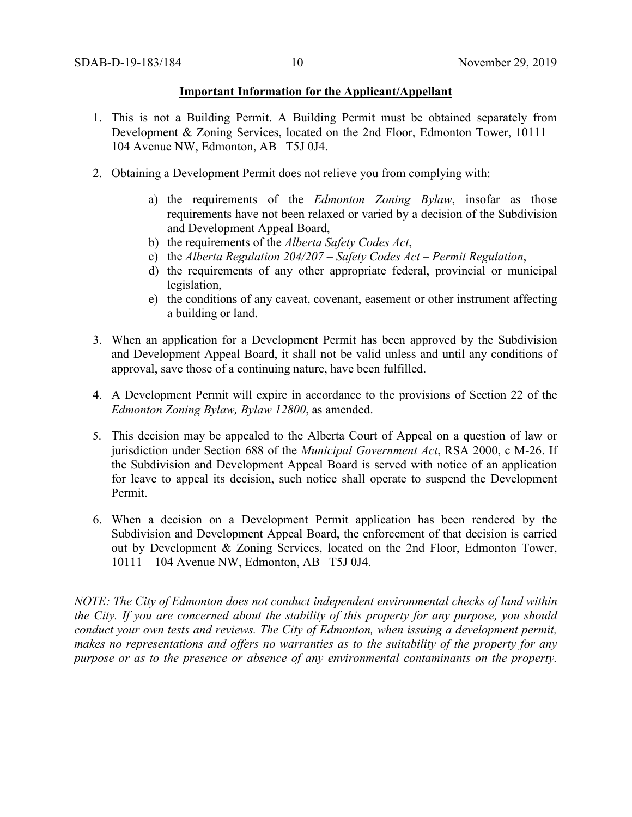#### **Important Information for the Applicant/Appellant**

- 1. This is not a Building Permit. A Building Permit must be obtained separately from Development & Zoning Services, located on the 2nd Floor, Edmonton Tower, 10111 – 104 Avenue NW, Edmonton, AB T5J 0J4.
- 2. Obtaining a Development Permit does not relieve you from complying with:
	- a) the requirements of the *Edmonton Zoning Bylaw*, insofar as those requirements have not been relaxed or varied by a decision of the Subdivision and Development Appeal Board,
	- b) the requirements of the *Alberta Safety Codes Act*,
	- c) the *Alberta Regulation 204/207 – Safety Codes Act – Permit Regulation*,
	- d) the requirements of any other appropriate federal, provincial or municipal legislation,
	- e) the conditions of any caveat, covenant, easement or other instrument affecting a building or land.
- 3. When an application for a Development Permit has been approved by the Subdivision and Development Appeal Board, it shall not be valid unless and until any conditions of approval, save those of a continuing nature, have been fulfilled.
- 4. A Development Permit will expire in accordance to the provisions of Section 22 of the *Edmonton Zoning Bylaw, Bylaw 12800*, as amended.
- 5. This decision may be appealed to the Alberta Court of Appeal on a question of law or jurisdiction under Section 688 of the *Municipal Government Act*, RSA 2000, c M-26. If the Subdivision and Development Appeal Board is served with notice of an application for leave to appeal its decision, such notice shall operate to suspend the Development Permit.
- 6. When a decision on a Development Permit application has been rendered by the Subdivision and Development Appeal Board, the enforcement of that decision is carried out by Development & Zoning Services, located on the 2nd Floor, Edmonton Tower, 10111 – 104 Avenue NW, Edmonton, AB T5J 0J4.

*NOTE: The City of Edmonton does not conduct independent environmental checks of land within the City. If you are concerned about the stability of this property for any purpose, you should conduct your own tests and reviews. The City of Edmonton, when issuing a development permit, makes no representations and offers no warranties as to the suitability of the property for any purpose or as to the presence or absence of any environmental contaminants on the property.*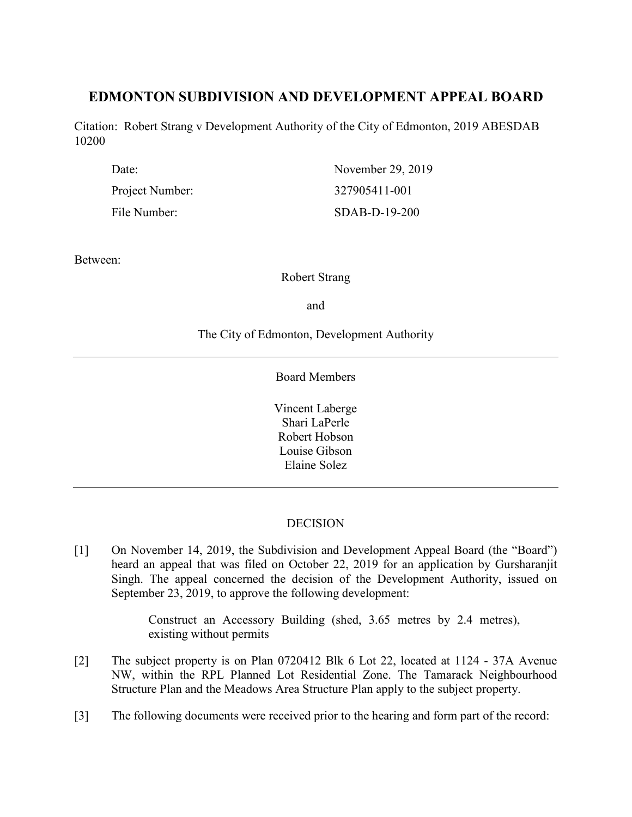# **EDMONTON SUBDIVISION AND DEVELOPMENT APPEAL BOARD**

Citation: Robert Strang v Development Authority of the City of Edmonton, 2019 ABESDAB 10200

| Date:           | November 29, 2019 |
|-----------------|-------------------|
| Project Number: | 327905411-001     |
| File Number:    | $SDAB-D-19-200$   |

Between:

Robert Strang

and

The City of Edmonton, Development Authority

Board Members

Vincent Laberge Shari LaPerle Robert Hobson Louise Gibson Elaine Solez

# **DECISION**

[1] On November 14, 2019, the Subdivision and Development Appeal Board (the "Board") heard an appeal that was filed on October 22, 2019 for an application by Gursharanjit Singh. The appeal concerned the decision of the Development Authority, issued on September 23, 2019, to approve the following development:

> Construct an Accessory Building (shed, 3.65 metres by 2.4 metres), existing without permits

- [2] The subject property is on Plan 0720412 Blk 6 Lot 22, located at 1124 37A Avenue NW, within the RPL Planned Lot Residential Zone. The Tamarack Neighbourhood Structure Plan and the Meadows Area Structure Plan apply to the subject property.
- [3] The following documents were received prior to the hearing and form part of the record: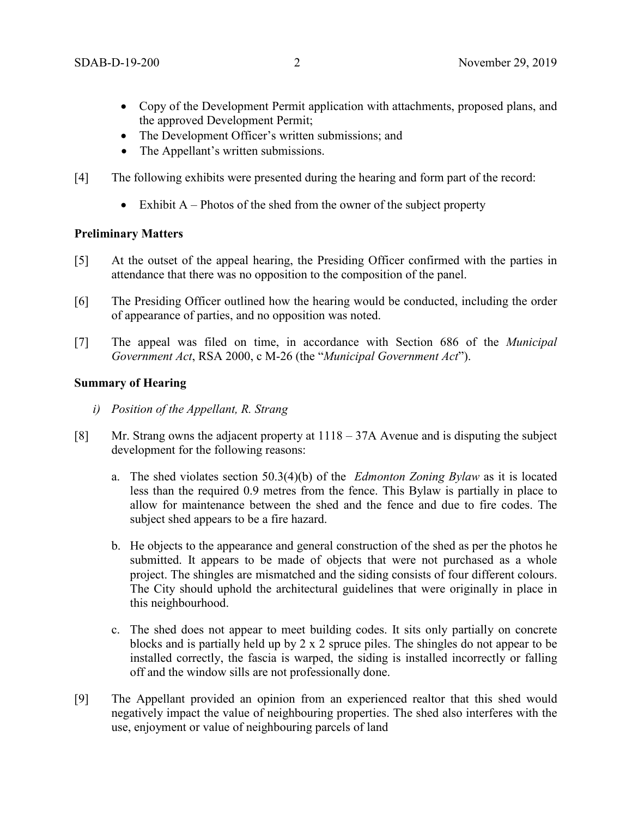- Copy of the Development Permit application with attachments, proposed plans, and the approved Development Permit;
- The Development Officer's written submissions; and
- The Appellant's written submissions.
- [4] The following exhibits were presented during the hearing and form part of the record:
	- Exhibit  $A$  Photos of the shed from the owner of the subject property

# **Preliminary Matters**

- [5] At the outset of the appeal hearing, the Presiding Officer confirmed with the parties in attendance that there was no opposition to the composition of the panel.
- [6] The Presiding Officer outlined how the hearing would be conducted, including the order of appearance of parties, and no opposition was noted.
- [7] The appeal was filed on time, in accordance with Section 686 of the *Municipal Government Act*, RSA 2000, c M-26 (the "*Municipal Government Act*").

# **Summary of Hearing**

- *i) Position of the Appellant, R. Strang*
- [8] Mr. Strang owns the adjacent property at 1118 37A Avenue and is disputing the subject development for the following reasons:
	- a. The shed violates section 50.3(4)(b) of the *Edmonton Zoning Bylaw* as it is located less than the required 0.9 metres from the fence. This Bylaw is partially in place to allow for maintenance between the shed and the fence and due to fire codes. The subject shed appears to be a fire hazard.
	- b. He objects to the appearance and general construction of the shed as per the photos he submitted. It appears to be made of objects that were not purchased as a whole project. The shingles are mismatched and the siding consists of four different colours. The City should uphold the architectural guidelines that were originally in place in this neighbourhood.
	- c. The shed does not appear to meet building codes. It sits only partially on concrete blocks and is partially held up by 2 x 2 spruce piles. The shingles do not appear to be installed correctly, the fascia is warped, the siding is installed incorrectly or falling off and the window sills are not professionally done.
- [9] The Appellant provided an opinion from an experienced realtor that this shed would negatively impact the value of neighbouring properties. The shed also interferes with the use, enjoyment or value of neighbouring parcels of land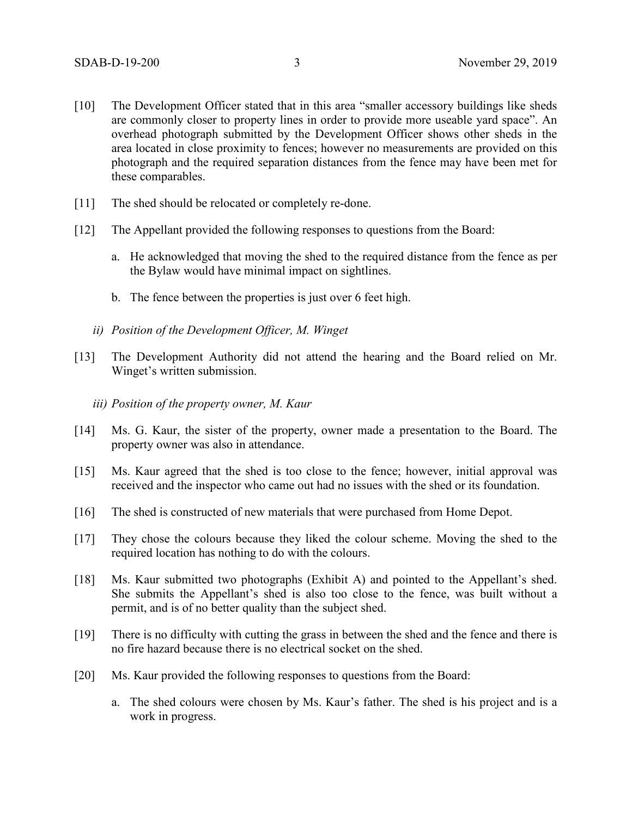- [10] The Development Officer stated that in this area "smaller accessory buildings like sheds are commonly closer to property lines in order to provide more useable yard space". An overhead photograph submitted by the Development Officer shows other sheds in the area located in close proximity to fences; however no measurements are provided on this photograph and the required separation distances from the fence may have been met for these comparables.
- [11] The shed should be relocated or completely re-done.
- [12] The Appellant provided the following responses to questions from the Board:
	- a. He acknowledged that moving the shed to the required distance from the fence as per the Bylaw would have minimal impact on sightlines.
	- b. The fence between the properties is just over 6 feet high.
	- *ii) Position of the Development Officer, M. Winget*
- [13] The Development Authority did not attend the hearing and the Board relied on Mr. Winget's written submission.
	- *iii) Position of the property owner, M. Kaur*
- [14] Ms. G. Kaur, the sister of the property, owner made a presentation to the Board. The property owner was also in attendance.
- [15] Ms. Kaur agreed that the shed is too close to the fence; however, initial approval was received and the inspector who came out had no issues with the shed or its foundation.
- [16] The shed is constructed of new materials that were purchased from Home Depot.
- [17] They chose the colours because they liked the colour scheme. Moving the shed to the required location has nothing to do with the colours.
- [18] Ms. Kaur submitted two photographs (Exhibit A) and pointed to the Appellant's shed. She submits the Appellant's shed is also too close to the fence, was built without a permit, and is of no better quality than the subject shed.
- [19] There is no difficulty with cutting the grass in between the shed and the fence and there is no fire hazard because there is no electrical socket on the shed.
- [20] Ms. Kaur provided the following responses to questions from the Board:
	- a. The shed colours were chosen by Ms. Kaur's father. The shed is his project and is a work in progress.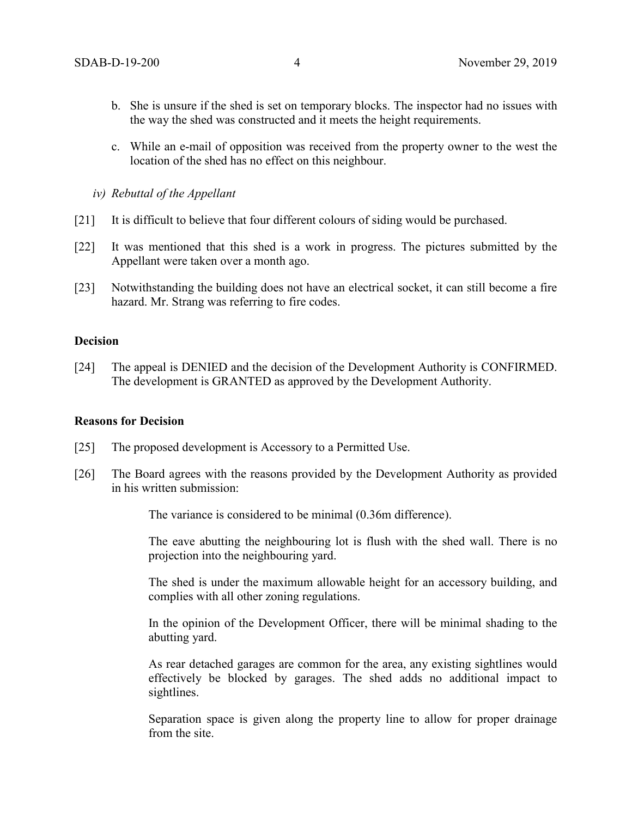- b. She is unsure if the shed is set on temporary blocks. The inspector had no issues with the way the shed was constructed and it meets the height requirements.
- c. While an e-mail of opposition was received from the property owner to the west the location of the shed has no effect on this neighbour.
- *iv) Rebuttal of the Appellant*
- [21] It is difficult to believe that four different colours of siding would be purchased.
- [22] It was mentioned that this shed is a work in progress. The pictures submitted by the Appellant were taken over a month ago.
- [23] Notwithstanding the building does not have an electrical socket, it can still become a fire hazard. Mr. Strang was referring to fire codes.

### **Decision**

[24] The appeal is DENIED and the decision of the Development Authority is CONFIRMED. The development is GRANTED as approved by the Development Authority.

### **Reasons for Decision**

- [25] The proposed development is Accessory to a Permitted Use.
- [26] The Board agrees with the reasons provided by the Development Authority as provided in his written submission:

The variance is considered to be minimal (0.36m difference).

The eave abutting the neighbouring lot is flush with the shed wall. There is no projection into the neighbouring yard.

The shed is under the maximum allowable height for an accessory building, and complies with all other zoning regulations.

In the opinion of the Development Officer, there will be minimal shading to the abutting yard.

As rear detached garages are common for the area, any existing sightlines would effectively be blocked by garages. The shed adds no additional impact to sightlines.

Separation space is given along the property line to allow for proper drainage from the site.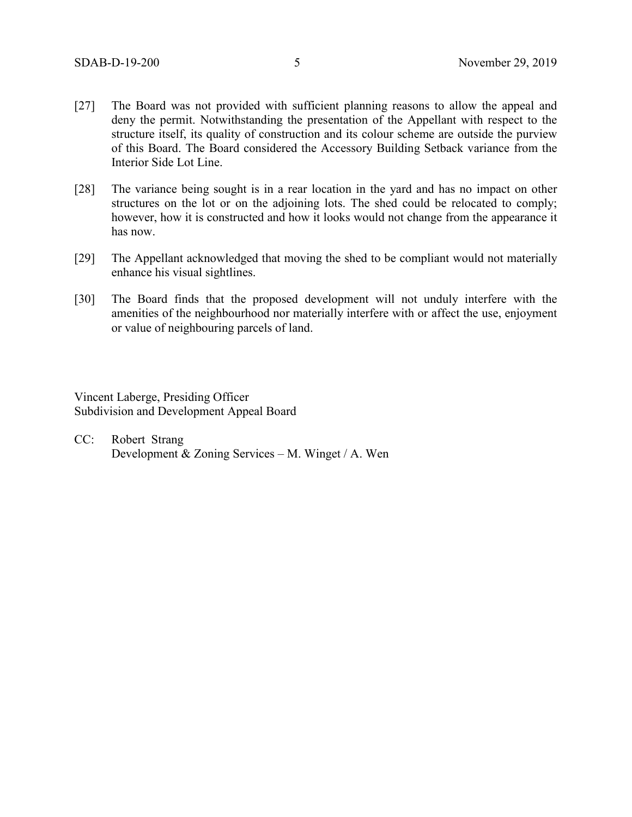- [27] The Board was not provided with sufficient planning reasons to allow the appeal and deny the permit. Notwithstanding the presentation of the Appellant with respect to the structure itself, its quality of construction and its colour scheme are outside the purview of this Board. The Board considered the Accessory Building Setback variance from the Interior Side Lot Line.
- [28] The variance being sought is in a rear location in the yard and has no impact on other structures on the lot or on the adjoining lots. The shed could be relocated to comply; however, how it is constructed and how it looks would not change from the appearance it has now.
- [29] The Appellant acknowledged that moving the shed to be compliant would not materially enhance his visual sightlines.
- [30] The Board finds that the proposed development will not unduly interfere with the amenities of the neighbourhood nor materially interfere with or affect the use, enjoyment or value of neighbouring parcels of land.

Vincent Laberge, Presiding Officer Subdivision and Development Appeal Board

CC: Robert Strang Development & Zoning Services – M. Winget / A. Wen